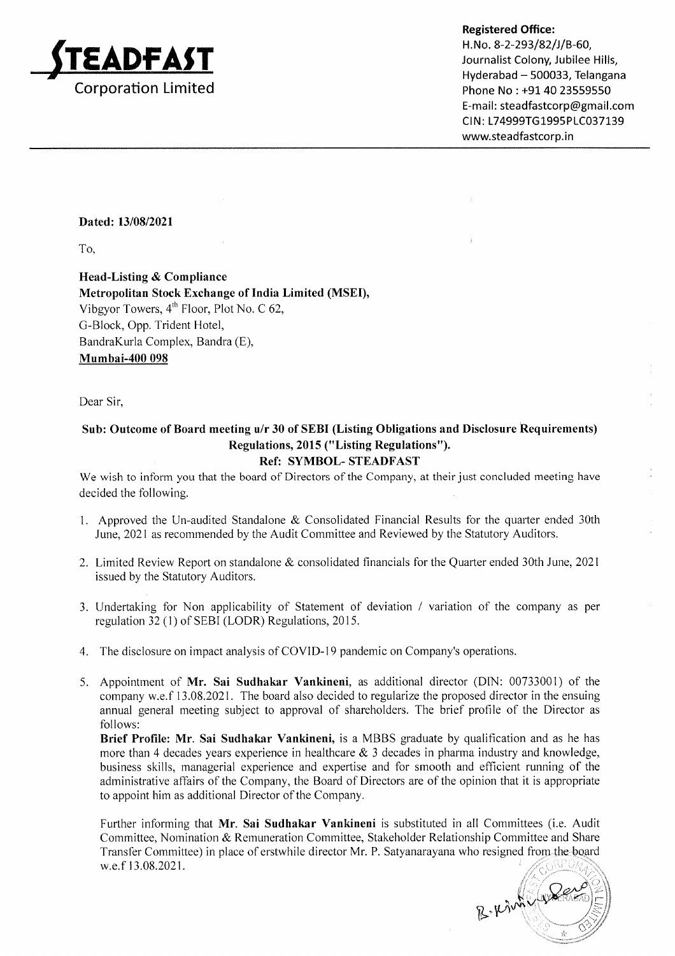

Registered Office:

H.No. 8-2-293/82/J/B-60, Journalist Colony, Jubilee Hills, Hyderabad - 500033, Telangana Phone No : +91 40 23559550 E-mail: steadfastcorp@gmail.com CIN: L74999TG1995PLC037139 www.steadfastcorp.in

#### Dated: 13/08/2021

To,

Head-Listing & Compliance Metropolitan Stock Exchange of India Limited (MSEI), Vibgyor Towers, 4'h Floor, Plot No. C 62, G-Block, Opp. Trident Hotel, BandraKurla Complex, Bandra (E), Mumbai-400 098

Dear Sir,

# Sub: Outcome of Board meeting u/r 30 of SEBI (Listing Obligations and Disclosure Requirements) Regulations, 2015 ("Listing Regulations").

### Ref: SYMBOL- STEADFAST

We wish to inform you that the board of Directors of the Company, at their just concluded meeting have decided the following.

- Approved the Un-audited Standalone & Consolidated Financial Results for the quarter ended 30th June,202l as recommended by the Audit Committee and Reviewed by the Statutory Auditors.
- 2. Limited Review Report on standalone & consolidated financials for the Quarter ended 30th June,2027 issued by the Statutory Auditors.
- 3. Undertaking for Non applicability of Statement of deviation / variation of the company as per regulation 32 (l) of SEBI (LODR) Regulations,20l5.
- 4. The disclosure on impact analysis of COVID-19 pandemic on Company's operations.
- 5. Appointment of Mr. Sai Sudhakar Vankineni, as additional director (DIN: 00733001) of the company w.e.f 13.08.2021. The board also decided to regularize the proposed director in the ensuing annual general meeting subject to approval of shareholders. The brief profile of the Director as follows:

Brief Profile: Mr. Sai Sudhakar Vankineni, is a MBBS graduate by qualification and as he has more than 4 decades years experience in healthcare  $\&$  3 decades in pharma industry and knowledge, business skills, managerial experience and expertise and for smooth and efficient running of the administrative affairs of the Company, the Board of Directors are of the opinion that it is appropriate to appoint him as additional Director of the Company.

Further informing that Mr. Sai Sudhakar Vankineni is substituted in all Committees (i.e. Audit Committee, Nomination & Remuneration Committee, Stakeholder Relationship Committee and Share Transfer Committee) in place of erstwhile director Mr. P. Satyanarayana who resigned from the board w.e.f 13.08.2021

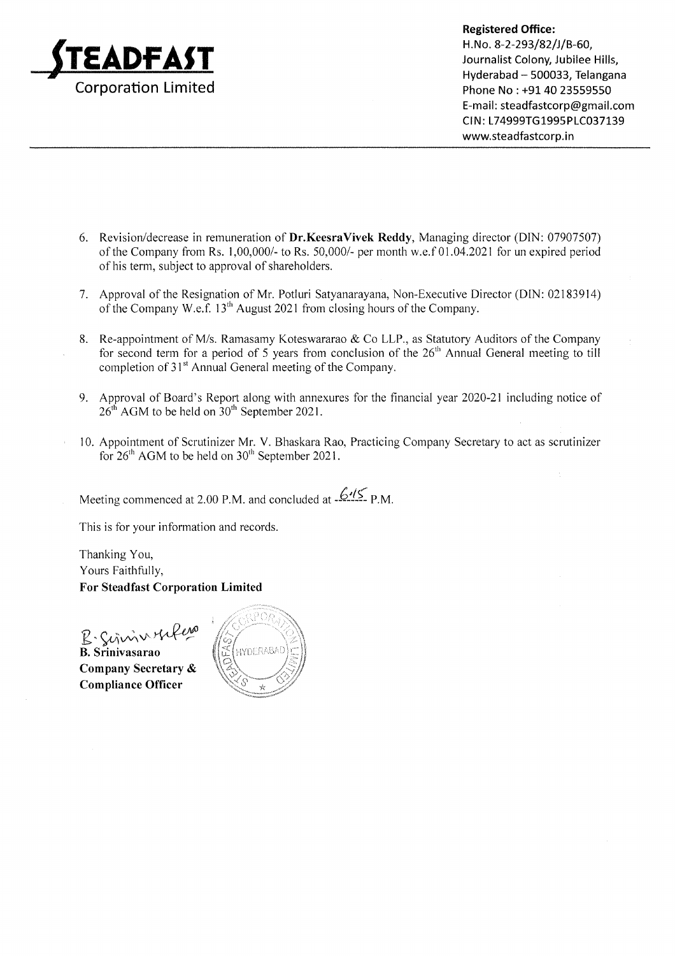

Hyderabad - 500033, Telangana Phone No : +91 40 23559550 E-mail: steadfastcorp@gmail.com CIN: L74999TG1995PLC037139 www.steadfastcorp.in

- 6. Revision/decrease in remuneration of Dr.KeesraVivek Reddy, Managing director (DIN: 07907507) of the Company from Rs. 1,00,000/- to Rs. 50,000/- per month w.e.f 01.04.2021 for un expired period of his term, subject to approval of shareholders.
- 7 Approval of the Resignation of Mr. Potluri Satyanarayana, Non-Executive Director (DIN: 02183914) of the Company W.e.f. l3'h August 2021 from closing hours of the Company.
- 8. Re-appointment of M/s. Ramasamy Koteswararao & Co LLP., as Statutory Auditors of the Company for second term for a period of 5 years from conclusion of the  $26<sup>th</sup>$  Annual General meeting to till completion of 3l" Annual General meeting of the Company.
- <sup>9</sup> Approval of Board's Report along with annexures for the financial year 2020-21 including notice of  $26<sup>th</sup>$  AGM to be held on  $30<sup>th</sup>$  September 2021.
- 10. Appointment of Scrutinizer Mr. V. Bhaskara Rao, Practicing Company Secretary to act as scrutinizer for 26'h AGM to be held on 30'h September 2021.

Meeting commenced at  $2.00$  P.M. and concluded at  $-6.12$  P.M.

This is for your information and records.

Thanking You, Yours Faithfully, For Steadfast Corporation Limited

B' Señvàv Likella<br>B. Srinivasarao Company Secretary & Compliance Officer

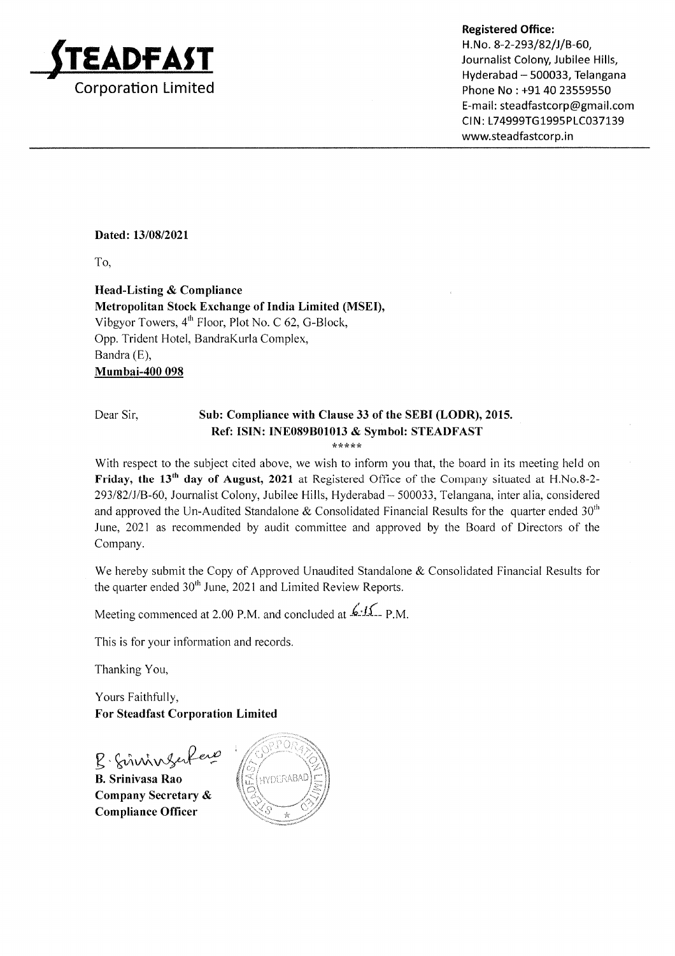

#### Registered Office:

H. No. 8-2-293/82/J/B-60, Journalist Colony, Jubilee Hills, Hyderabad - 500033, Telangana Phone No : +91 40 23559550 E-mail: steadfastcorp@gmail.com CIN: L74999TG1995PLC037139 www.steadfastcorp.in

#### Dated: 13/08/2021

To,

Head-Listing & Compliance Metropolitan Stock Exchange of India Limited (MSEI), Vibgyor Towers,  $4<sup>th</sup>$  Floor, Plot No. C 62, G-Block, Opp. Trident Hotel, BandraKurla Complex, Bandra (E), Mumbai-400 098

# Dear Sir, Sub: Compliance with Clause 33 of the SEBI (LODR), 2015. Ref: ISIN: INE089801013 & Symbol: STEADFAST

\*\*\*\*r(

With respect to the subject cited above, we wish to inform you that, the board in its meeting held on Friday, the 13<sup>th</sup> day of August, 2021 at Registered Office of the Company situated at H.No.8-2-293/82/J/B-60, Journalist Colony, Jubilee Hills, Hyderabad - 500033, Telangana, inter alia, considered and approved the Un-Audited Standalone & Consolidated Financial Results for the quarter ended  $30<sup>th</sup>$ June, 2021 as recommended by audit committee and approved by the Board of Directors of the Company.

We hereby submit the Copy of Approved Unaudited Standalone & Consolidated Financial Results for the quarter ended 30<sup>th</sup> June, 2021 and Limited Review Reports.

Meeting commenced at 2.00 P.M. and concluded at  $\cancel{\mathcal{L}}$ - $\cancel{1\mathcal{L}}$ -P.M.

This is for your information and records

Thanking You,

Yours Faithfully, For Steadfast Corporation Limited

B. Sinningerfere B. Srinivasa Rao

Company Secretary & Compliance Officer

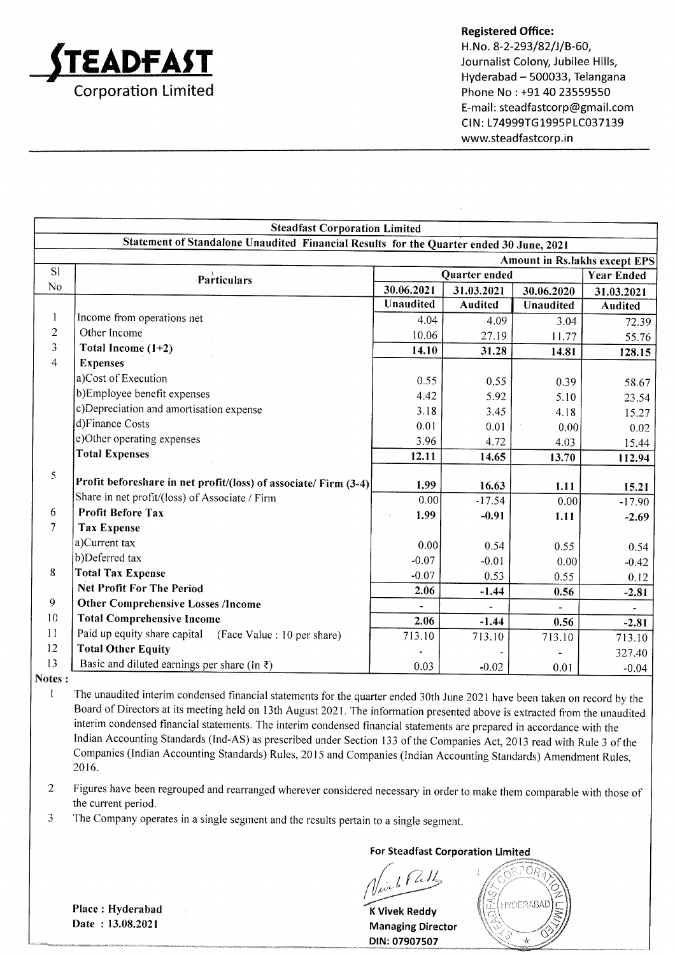

Registered Office: H.No. 8-2-293/82/J/B-60, Journalist Colony, Jubilee Hills, Hyderabad - 500033, Telangana Phone No : +91 40 23559550 E-mail : steadfastcorp@gmail.com CIN: L74999TG1995PLC037139 www.steadfastcorp.in

|                | <b>Steadfast Corporation Limited</b>                                                    |               |                |            |                                      |
|----------------|-----------------------------------------------------------------------------------------|---------------|----------------|------------|--------------------------------------|
|                | Statement of Standalone Unaudited Financial Results for the Quarter ended 30 June, 2021 |               |                |            |                                      |
|                |                                                                                         |               |                |            | <b>Amount in Rs.lakhs except EPS</b> |
| S1             | <b>Particulars</b>                                                                      | Quarter ended |                |            | <b>Year Ended</b>                    |
| No             |                                                                                         | 30.06.2021    | 31.03.2021     | 30.06.2020 | 31.03.2021                           |
|                |                                                                                         | Unaudited     | <b>Audited</b> | Unaudited  | Audited                              |
| 1              | Income from operations net                                                              | 4.04          | 4.09           | 3.04       | 72.39                                |
| $\overline{2}$ | Other Income                                                                            | 10.06         | 27.19          | 11.77      | 55.76                                |
| 3              | Total Income $(1+2)$                                                                    | 14.10         | 31.28          | 14.81      | 128.15                               |
| $\overline{4}$ | <b>Expenses</b>                                                                         |               |                |            |                                      |
|                | a)Cost of Execution                                                                     | 0.55          | 0.55           | 0.39       | 58.67                                |
|                | b)Employee benefit expenses                                                             | 4.42          | 5.92           | 5.10       | 23.54                                |
|                | c)Depreciation and amortisation expense                                                 | 3.18          | 3.45           | 4.18       | 15.27                                |
|                | d)Finance Costs                                                                         | 0.01          | 0.01           | 0.00       | 0.02                                 |
|                | e)Other operating expenses                                                              | 3.96          | 4.72           | 4.03       | 15.44                                |
|                | <b>Total Expenses</b>                                                                   | 12.11         | 14.65          | 13.70      | 112.94                               |
| 5              |                                                                                         |               |                |            |                                      |
|                | Profit beforeshare in net profit/(loss) of associate/ Firm (3-4)                        | 1.99          | 16.63          | 1.11       | 15.21                                |
|                | Share in net profit/(loss) of Associate / Firm                                          | 0.00          | $-17.54$       | 0.00       | $-17.90$                             |
| 6              | <b>Profit Before Tax</b>                                                                | 1.99          | $-0.91$        | 1.11       | $-2.69$                              |
| $\tau$         | <b>Tax Expense</b>                                                                      |               |                |            |                                      |
|                | a)Current tax                                                                           | 0.00          | 0.54           | 0.55       | 0.54                                 |
|                | b)Deferred tax                                                                          | $-0.07$       | $-0.01$        | 0.00       | $-0.42$                              |
| $\bf 8$        | <b>Total Tax Expense</b>                                                                | $-0.07$       | 0.53           | 0.55       | 0.12                                 |
|                | <b>Net Profit For The Period</b>                                                        | 2.06          | $-1.44$        | 0.56       | $-2.81$                              |
| 9              | <b>Other Comprehensive Losses /Income</b>                                               |               |                |            | $\overline{\phantom{a}}$             |
| 10             | <b>Total Comprehensive Income</b>                                                       | 2.06          | $-1.44$        | 0.56       | $-2.81$                              |
| 11             | Paid up equity share capital (Face Value : 10 per share)                                | 713.10        | 713.10         | 713.10     | 713.10                               |
| 12             | <b>Total Other Equity</b>                                                               |               |                |            | 327.40                               |
| 13             | Basic and diluted earnings per share (In $\bar{z}$ )                                    | 0.03          | $-0.02$        | 0.01       | $-0.04$                              |

Notes :

I The unaudited interim condensed financial statements for the quarter ended 30th June202I have been taken on record by the Board of Directors at its meeting held on l3th August 2021 .The information presented above is extracted from the unaudited interim condensed financial statements. The interim condensed financial statements are prepared in accordance with the Indian Accounting Standards (lnd-AS) as prescribed under Section 133 of the Companies Act,20l3 read with Rule 3 of the Companies (Indian Accounting Standards) Rules, 20 l5 and Companies (lndian Accounting Standards) Amendment Rules, 2016.

Figures have been regrouped and rearranged wherever considered necessary in order to make them comparable with those of the current period. 2

The company operates in a single segment and the results pertain to a single segment. )

For Steadfast Corporation Limited

a

<sup>K</sup>Vivek Reddy Managing Director DIN: 07907507



Place : Hyderabad Date : 13.08.2021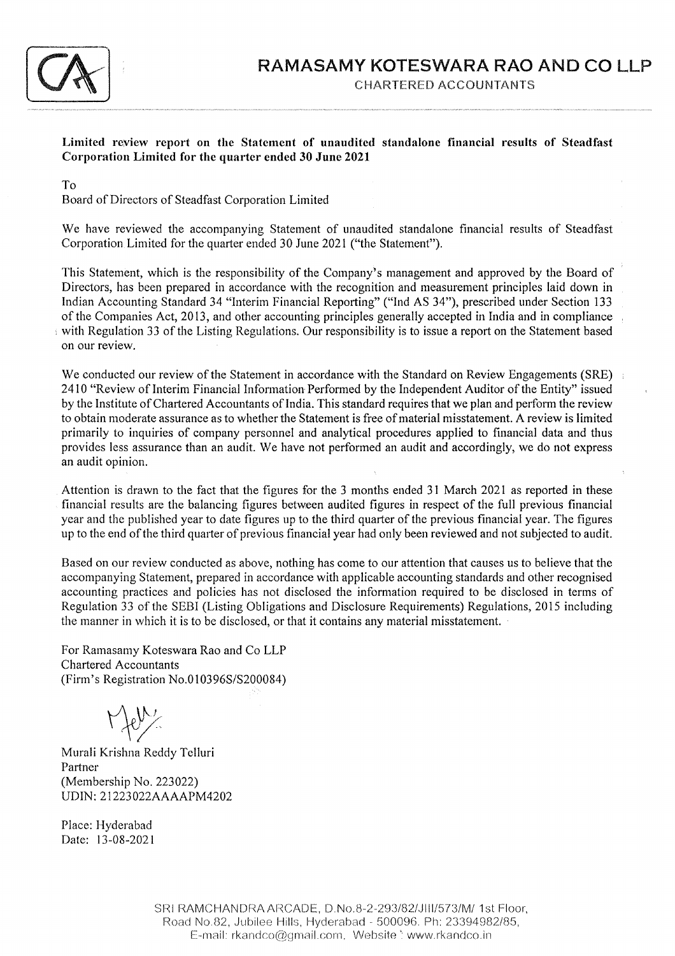

Limited review report on the Statement of unaudited standalone financial results of Steadfast Corporation Limited for the quarter ended 30 June <sup>2021</sup>

#### To

Board of Directors of Steadfast Corporation Limited

We have reviewed the accompanying Statement of unaudited standalone financial results of Steadfast Corporation Limited for the quarter ended 30 June 2021 ("the Statement").

This Statement, which is the responsibility of the Company's management and approved by the Board of Directors, has been prepared in accordance with the recognition and measurement principles laid down in Indian Accounting Standard 34 "lnterim Financial Reporting" ("lnd AS 34"), prescribed under Section <sup>133</sup> of the Companies Act,20l3, and other accounting principles generally accepted in India and in compliance with Regulation 33 of the Listing Regulations. Our responsibility is to issue a report on the Statement based on our review.

We conducted our review of the Statement in accordance with the Standard on Review Engagements (SRE) 2410 "Review of Interim Financial Information Performed by the Independent Auditor of the Entity" issued by the lnstitute of Chartered Accountants of India. This standard requires that we plan and perform the review to obtain moderate assurance as to whether the Statement is free of material misstatement. A review is limited primarily to inquiries of company personnel and analytical procedures applied to financial data and thus provides less assurance than an audit. We have not performed an audit and accordingly, we do not express an audit opinion.

Attention is drawn to the fact that the figures for the 3 months ended 31 March 2021 as reported in these financial results are the balancing figures between audited figures in respect of the full previous financial year and the published year to date figures up to the third quarter of the previous financial year. The figures up to the end of the third quarter of previous financial year had only been reviewed and not subjected to audit.

Based on our review conducted as above, nothing has come to our attention that causes us to believe that the accompanying Statement, prepared in accordance with applicable accounting standards and other recognised accounting practices and policies has not disclosed the information required to be disclosed in terms of Regulation 33 of the SEBI (Listing Obligations and Disclosure Requirements) Regulations,20lS including the manner in which it is to be disclosed, or that it contains any material misstatement.

For Ramasamy Koteswara Rao and Co LLP Chartered Accountants (Firm's Registration No.0103965/5200084)

 $\Gamma$  for  $\chi$ 

Murali Krishna Reddy Telluri Partner (Membership No. 223022) UDIN : 2 I 223 022 AAAAPM4202

Place: Hyderabad Date: l3-08-2021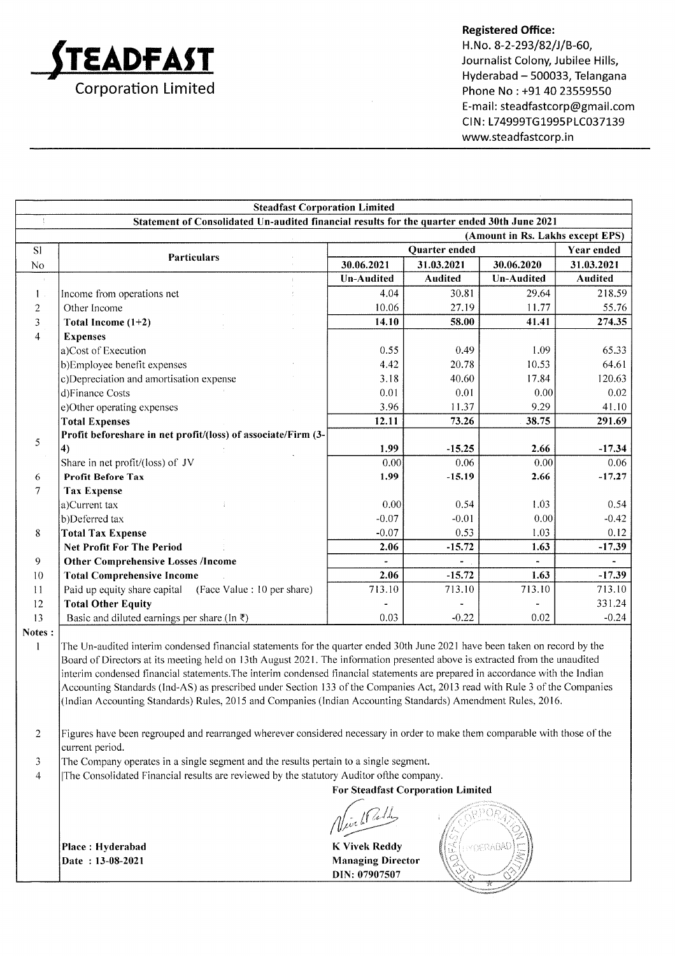

#### Registered Office:

H.No. 8-2-293/82/J/B-60, Journalist Colony, Jubilee Hills, Hyderabad - 500033, Telangana Phone No : +91 40 23559550 E-mail: steadfastcorp@gmail.com CIN: L74999TG1995PLC037139 www.steadfastcorp.in

|                                  | <b>Steadfast Corporation Limited</b>                                                                                          |                   |                |                   |                   |
|----------------------------------|-------------------------------------------------------------------------------------------------------------------------------|-------------------|----------------|-------------------|-------------------|
| $\overline{\overline{z}}$        | Statement of Consolidated Un-audited financial results for the quarter ended 30th June 2021                                   |                   |                |                   |                   |
| (Amount in Rs. Lakhs except EPS) |                                                                                                                               |                   |                |                   |                   |
| S1                               | <b>Particulars</b>                                                                                                            | Quarter ended     |                |                   | <b>Year ended</b> |
| No                               |                                                                                                                               | 30.06.2021        | 31.03.2021     | 30.06.2020        | 31.03.2021        |
| $\pm$                            |                                                                                                                               | <b>Un-Audited</b> | <b>Audited</b> | <b>Un-Audited</b> | <b>Audited</b>    |
| $\mathbf{1}$ .                   | Income from operations net                                                                                                    | 4.04              | 30.81          | 29.64             | 218.59            |
| 2                                | Other Income                                                                                                                  | 10.06             | 27.19          | 11.77             | 55.76             |
| 3                                | Total Income $(1+2)$                                                                                                          | 14.10             | 58.00          | 41.41             | 274.35            |
| $\overline{4}$                   | <b>Expenses</b>                                                                                                               |                   |                |                   |                   |
|                                  | a)Cost of Execution                                                                                                           | 0.55              | 0.49           | 1.09              | 65.33             |
|                                  | b)Employee benefit expenses                                                                                                   | 4.42              | 20.78          | 10.53             | 64.61             |
|                                  | c)Depreciation and amortisation expense                                                                                       | 3.18              | 40.60          | 17.84             | 120.63            |
|                                  | d)Finance Costs                                                                                                               | 0.01              | 0.01           | 0.00              | 0.02              |
|                                  | e) Other operating expenses                                                                                                   | 3.96              | 11.37          | 9.29              | 41.10             |
|                                  | <b>Total Expenses</b>                                                                                                         | 12.11             | 73.26          | 38.75             | 291.69            |
|                                  | Profit beforeshare in net profit/(loss) of associate/Firm (3-                                                                 |                   |                |                   |                   |
| 5                                | $\boldsymbol{4}$                                                                                                              | 1.99              | $-15.25$       | 2.66              | $-17.34$          |
|                                  | Share in net profit/(loss) of JV                                                                                              | 0.00              | 0.06           | 0.00              | 0.06              |
| 6                                | <b>Profit Before Tax</b>                                                                                                      | 1.99              | $-15.19$       | 2.66              | $-17,27$          |
| $\overline{7}$                   | <b>Tax Expense</b>                                                                                                            |                   |                |                   |                   |
|                                  | a)Current tax                                                                                                                 | 0.00              | 0.54           | 1.03              | 0.54              |
|                                  | b)Deferred tax                                                                                                                | $-0.07$           | $-0.01$        | 0.00              | $-0.42$           |
| 8                                | <b>Total Tax Expense</b>                                                                                                      | $-0.07$           | 0.53           | 1.03              | 0.12              |
|                                  | <b>Net Profit For The Period</b>                                                                                              | 2.06              | $-15.72$       | 1.63              | $-17.39$          |
| 9                                | <b>Other Comprehensive Losses /Income</b>                                                                                     |                   | $\blacksquare$ |                   |                   |
| 10                               | <b>Total Comprehensive Income</b>                                                                                             | 2.06              | $-15.72$       | 1.63              | $-17.39$          |
| 11                               | Paid up equity share capital<br>(Face Value : 10 per share)                                                                   | 713.10            | 713.10         | 713.10            | 713.10            |
| 12                               | <b>Total Other Equity</b>                                                                                                     |                   |                |                   | 331.24            |
| 13                               | Basic and diluted earnings per share (In $\bar{z}$ )                                                                          | 0.03              | $-0.22$        | 0.02              | $-0.24$           |
| Notes:                           |                                                                                                                               |                   |                |                   |                   |
| $\mathbf{1}$                     | The Un-audited interim condensed financial statements for the quarter ended 30th June 2021 have been taken on record by the   |                   |                |                   |                   |
|                                  | Board of Directors at its meeting held on 13th August 2021. The information presented above is extracted from the unaudited   |                   |                |                   |                   |
|                                  | interim condensed financial statements. The interim condensed financial statements are prepared in accordance with the Indian |                   |                |                   |                   |
|                                  | Accounting Standards (Ind-AS) as prescribed under Section 133 of the Companies Act, 2013 read with Rule 3 of the Companies    |                   |                |                   |                   |
|                                  | (Indian Accounting Standards) Rules, 2015 and Companies (Indian Accounting Standards) Amendment Rules, 2016.                  |                   |                |                   |                   |

2 Figures have been regrouped and rearranged wherever considered necessary in order to make them comparable with those of the current period.

3 The Company operates in a single segment and the results pertain to a single segment.

4 lThe Consolidated Financial results are reviewed by the statutory Auditor ofthe company.

For Steadfast Corporation Limited

a /

Place: Hyderabad Date : 13-08-2021

K Vivek Reddy Managing Director DIN: 07907507

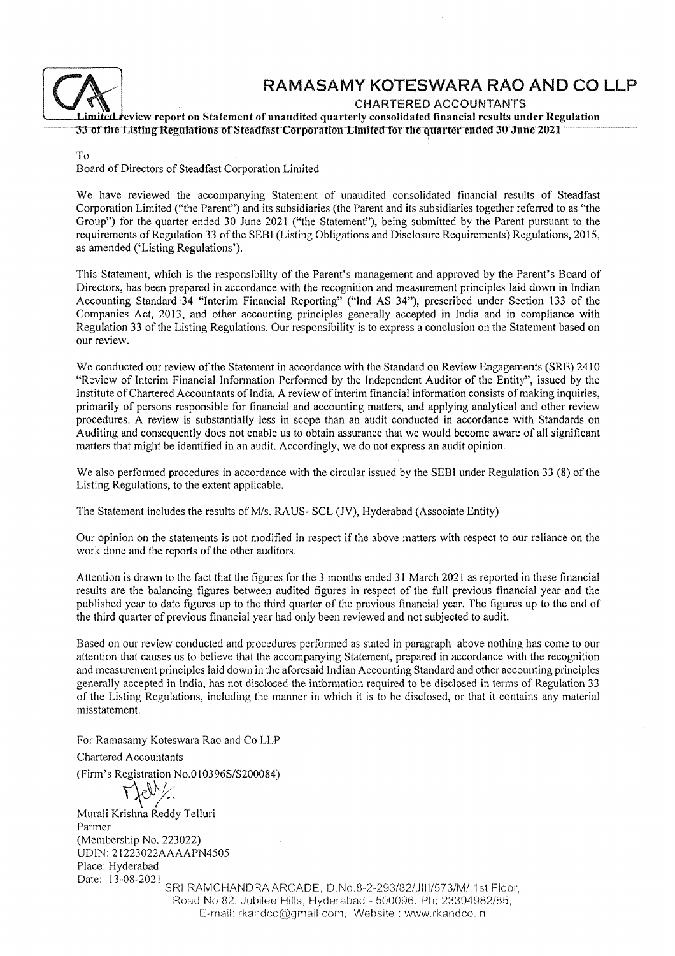

# RAMASAMY KOTESWARA RAO AND CO LLP

report on Statement of unaudited quarterly consolidated financial results under Regulation<br>The position of Statement of unaudited quarterly consolidated financial results under Regulation<br>The fitte Listing Regulations of S

To

Board of Directors of Steadfast Corporation Limited

We have reviewed the accompanying Statement of unaudited consolidated financial results of Steadfast Corporation Limited (!'the Parent") and its subsidiaries (the Parent and its subsidiaries together referred to as "the Group") for the quarter ended 30 June 2021 ("the Statement"), being submitted by the Parent pursuant to the requirements of Regulation 33 of the SEBI (Listing Obligations and Disclosure Requirements) Regulations, 2015, as amended ('Listing Regulations').

This Statement, which is the responsibility of the Parent's management and approved by the Parent's Board of Directors, has been prepared in accordance with the recognition and measurement principles laid down in Indian Accounting Standard 34 "Interim Financial Reporting" ("Ind AS 34"), prescribed under Section 133 of the Companies Act,2013, and other accounting principles generally accepted in India and in compliance with Regulation 33 of the Listing Regulations. Our responsibility is to express a conclusion on the Statement based on our review.

We conducted our review of the Statement in accordance with the Standard on Review Engagements (SRE) <sup>2410</sup> "Review of Interim Financial Information Performed by the Independent Auditor of the Entity", issued by the Institute of Chartered Accountants of India. A review of interim financial information consists of making inquiries, primarily of persons responsible for financial and accounting matters, and applying analytical and other review procedures. A review is substantially less in scope than an audit conducted in accordance with Standards on Auditing and consequently does not enable us to obtain assurance that we would become aware of all significant matters that might be identified in an audit. Accordingly, we do not express an audit opinion.

We also performed procedures in accordance with the circular issued by the SEBI under Regulation 33 (8) of the Listing Regulations, to the extent applicable.

The Statement includes the results of M/s. RAUS- SCL (JV), Hyderabad (Associate Entity)

Our opinion on the statements is not modified in respect if the above matters with respect to our reliance on the work done and the reports of the other auditors.

Attention is drawn to the fact that the figures for the 3 months ended 31 March 2021 as reported in these financial results are the balancing figures between audited figures in respect of the full previous financial year and the published year to date figures up to the third quarter of the previous financial year. The figures up to the end of the third quarter of previous financial year had only been reviewed and not subjected to audit.

Based on our review conducted and procedures performed as stated in paragraph above nothing has come to our attention that causes us to believe that the accompanying Statement, prepared in accordance with the recognition and measurement principles laid down in the aforesaid Indian Accounting Standard and other accounting principles generally accepted in India, has not disclosed the infornration required to be disclosed in terms of Regulation <sup>33</sup> of the Listing Regulations, including the rnanner in which it is to be disclosed, or that it contains any material misstatement.

For Ramasamy Koteswara Rao and Co LLP

Chartered Accountants

(Firm's Registration  $No.010396S/S200084$ )

Murali Krishna Reddy Telluri Partner (Membership No. 223022) UDIN: 21223022AAAAPN4505 Place: Hyderabad Date: l3-08-2021

SRI RAMCHANDRA ARCADE, D. No.8-2-293/82/JIII/573/M/ 1st Floor, Road No.82, Jubilee Hills, Hyderabad - 500096. Ph: 23394982/85, E-mail: rkandco@gmail.com, Website : www.rkandco.in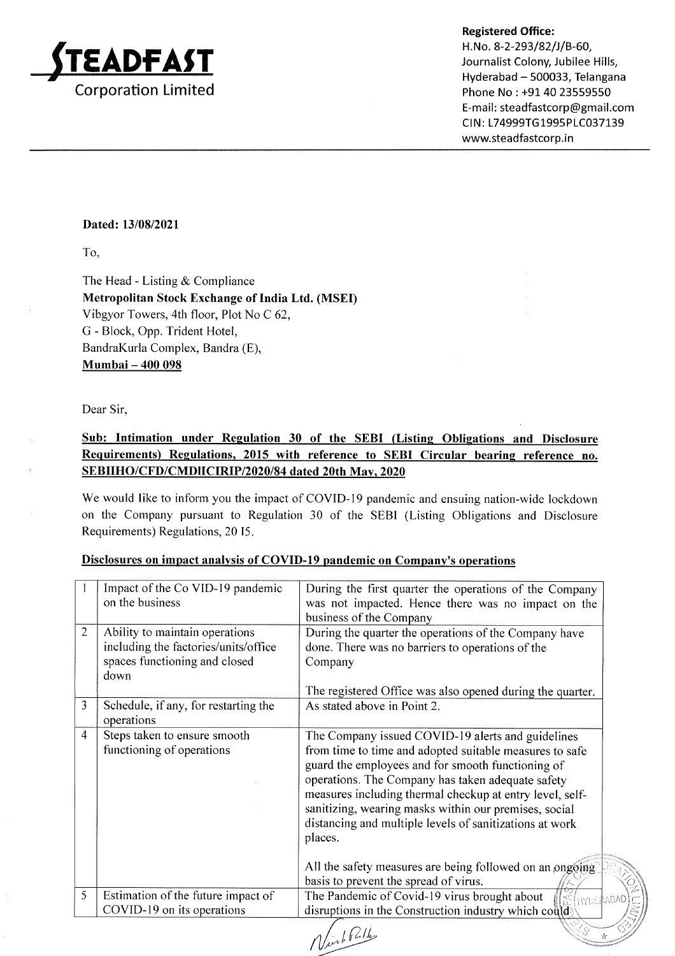

Registered Office:<br>
H. No. 8-2-293/82/J/B-60,<br>
Journalist Colony, Jubilee Hills,<br>
Hyderabad – 500033, Telangana Phone No : +91 40 23559550 E-mail: steadfastcorp@gmail.com CIN: L74999TG1995PLC037139 www.steadfastcorp.in

'i<

#### Dated: 13/08/2021

To,

The Head - Listing & Compliance Metropolitan Stock Exchange of India Ltd. (MSED Vibgyor Towers, 4th floor, Plot No C 62, G - Block, Opp. Trident Hotel, BandraKurla Complex, Bandra (E), Mumbai - 400 098

Dear Sir,

## Sub: Intimation under Regulation 30 of the SEBI (Listing Obligations and Disclosure Requirements) Regulations, 2015 with reference to SEBI Circular bearing reference no. SEBIIHO/CFD/CMDIICIRIP/2020/84 dated 20th Mav. 2020

We would like to inform you the impact of COVID-19 pandemic and ensuing nation-wide lockdown on the Company pursuant to Regulation 30 of the SEBI (Listing Obligations and Disclosure Requirements) Regulations, 20 I5.

| Disclosures on impact analysis of COVID-19 pandemic on Company's operations |                                                                                                                 |                                                                                                                                                                                                                                                                                                                                                                                                                   |  |
|-----------------------------------------------------------------------------|-----------------------------------------------------------------------------------------------------------------|-------------------------------------------------------------------------------------------------------------------------------------------------------------------------------------------------------------------------------------------------------------------------------------------------------------------------------------------------------------------------------------------------------------------|--|
|                                                                             | Impact of the Co VID-19 pandemic<br>on the business                                                             | During the first quarter the operations of the Company<br>was not impacted. Hence there was no impact on the<br>business of the Company                                                                                                                                                                                                                                                                           |  |
| 2                                                                           | Ability to maintain operations<br>including the factories/units/office<br>spaces functioning and closed<br>down | During the quarter the operations of the Company have<br>done. There was no barriers to operations of the<br>Company                                                                                                                                                                                                                                                                                              |  |
| 3                                                                           | Schedule, if any, for restarting the<br>operations                                                              | The registered Office was also opened during the quarter.<br>As stated above in Point 2.                                                                                                                                                                                                                                                                                                                          |  |
| $\overline{4}$                                                              | Steps taken to ensure smooth<br>functioning of operations                                                       | The Company issued COVID-19 alerts and guidelines<br>from time to time and adopted suitable measures to safe<br>guard the employees and for smooth functioning of<br>operations. The Company has taken adequate safety<br>measures including thermal checkup at entry level, self-<br>sanitizing, wearing masks within our premises, social<br>distancing and multiple levels of sanitizations at work<br>places. |  |

#### Disclosures on impact analvsis of COVID-19 pandemic on Company's operations

Estimation of the future impact of COVID- l9 on its operations All the safety measures are being followed on an ongoing basis to prevent the spread of virus. 5 basis to prevent the spread of virus. The Pandemic of Covid- l9 virus brought about disruptions in the Construction industry which **HYDE** 

Ninh Polls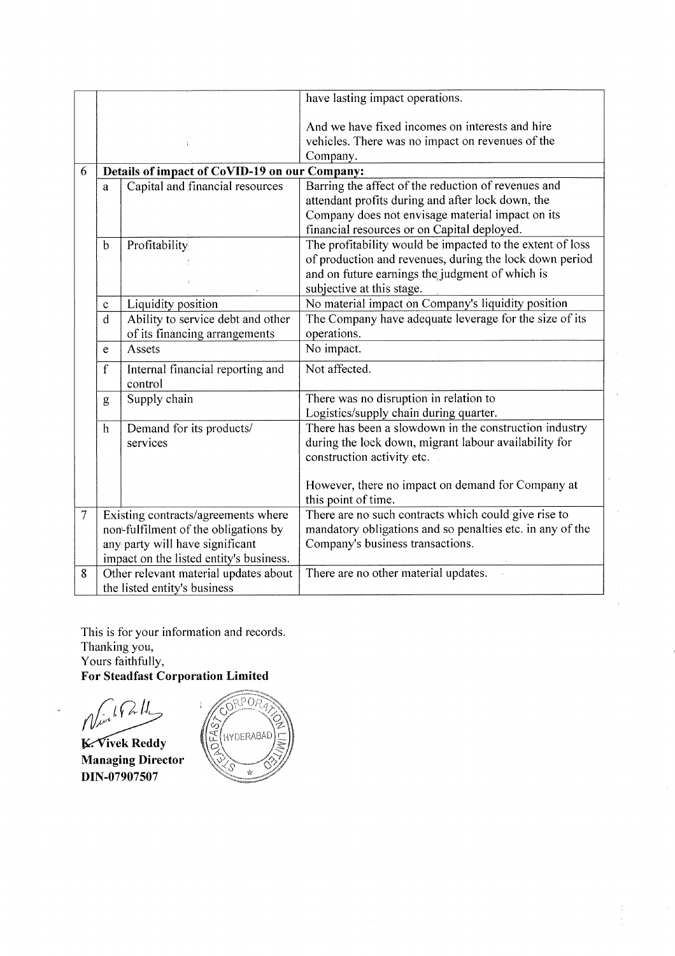|        |                                                                                                                                                           |                                                                    | have lasting impact operations.                                                                                                                                                                             |
|--------|-----------------------------------------------------------------------------------------------------------------------------------------------------------|--------------------------------------------------------------------|-------------------------------------------------------------------------------------------------------------------------------------------------------------------------------------------------------------|
|        |                                                                                                                                                           |                                                                    | And we have fixed incomes on interests and hire<br>vehicles. There was no impact on revenues of the<br>Company.                                                                                             |
| 6      |                                                                                                                                                           | Details of impact of CoVID-19 on our Company:                      |                                                                                                                                                                                                             |
|        | a                                                                                                                                                         | Capital and financial resources                                    | Barring the affect of the reduction of revenues and<br>attendant profits during and after lock down, the<br>Company does not envisage material impact on its<br>financial resources or on Capital deployed. |
|        | $\mathbf b$                                                                                                                                               | Profitability                                                      | The profitability would be impacted to the extent of loss<br>of production and revenues, during the lock down period<br>and on future earnings the judgment of which is<br>subjective at this stage.        |
|        | $\mathbf c$                                                                                                                                               | Liquidity position                                                 | No material impact on Company's liquidity position                                                                                                                                                          |
|        | d                                                                                                                                                         | Ability to service debt and other<br>of its financing arrangements | The Company have adequate leverage for the size of its<br>operations.                                                                                                                                       |
|        | e                                                                                                                                                         | Assets                                                             | $\overline{N}$ o impact.                                                                                                                                                                                    |
|        | $\mathbf f$                                                                                                                                               | Internal financial reporting and<br>control                        | Not affected.                                                                                                                                                                                               |
|        | g                                                                                                                                                         | Supply chain                                                       | There was no disruption in relation to<br>Logistics/supply chain during quarter.                                                                                                                            |
|        | h                                                                                                                                                         | Demand for its products/<br>services                               | There has been a slowdown in the construction industry<br>during the lock down, migrant labour availability for<br>construction activity etc.                                                               |
|        |                                                                                                                                                           |                                                                    | However, there no impact on demand for Company at<br>this point of time.                                                                                                                                    |
| $\tau$ | Existing contracts/agreements where<br>non-fulfilment of the obligations by<br>any party will have significant<br>impact on the listed entity's business. |                                                                    | There are no such contracts which could give rise to<br>mandatory obligations and so penalties etc. in any of the<br>Company's business transactions.                                                       |
| 8      | Other relevant material updates about<br>There are no other material updates.<br>the listed entity's business                                             |                                                                    |                                                                                                                                                                                                             |

This is for your information and records. Thanking you, Yours faithfully, For Steadfast Corporation Limited

،<br>مسلمان  $\lambda$ 

Managing Director DIN-07907507 Reddy